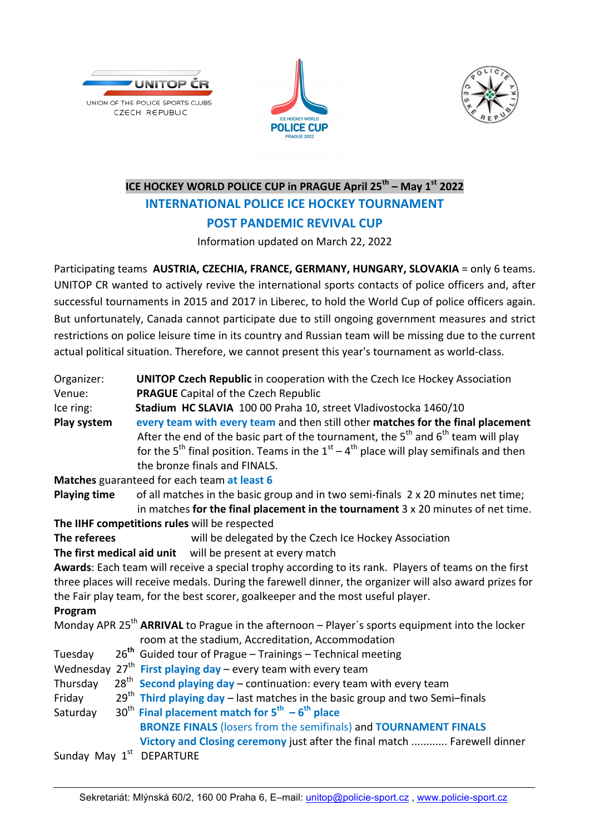





## l **ICE HOCKEY WORLD POLICE CUP in PRAGUE April 25<sup>th</sup> – May 1<sup>st</sup> 2022 INTERNATIONAL POLICE ICE HOCKEY TOURNAMENT POST PANDEMIC REVIVAL CUP**

Information updated on March 22, 2022

Participating teams **AUSTRIA, CZECHIA, FRANCE, GERMANY, HUNGARY, SLOVAKIA** = only 6 teams. UNITOP CR wanted to actively revive the international sports contacts of police officers and, after successful tournaments in 2015 and 2017 in Liberec, to hold the World Cup of police officers again. But unfortunately, Canada cannot participate due to still ongoing government measures and strict restrictions on police leisure time in its country and Russian team will be missing due to the current actual political situation. Therefore, we cannot present this year's tournament as world-class.

| Organizer:          | <b>UNITOP Czech Republic</b> in cooperation with the Czech Ice Hockey Association                      |  |
|---------------------|--------------------------------------------------------------------------------------------------------|--|
| Venue:              | <b>PRAGUE</b> Capital of the Czech Republic                                                            |  |
| Ice ring:           | Stadium HC SLAVIA 100 00 Praha 10, street Vladivostocka 1460/10                                        |  |
| Play system         | every team with every team and then still other matches for the final placement                        |  |
|                     | After the end of the basic part of the tournament, the $5th$ and $6th$ team will play                  |  |
|                     | for the 5 <sup>th</sup> final position. Teams in the $1st - 4th$ place will play semifinals and then   |  |
|                     | the bronze finals and FINALS.                                                                          |  |
|                     | Matches guaranteed for each team at least 6                                                            |  |
| <b>Playing time</b> | of all matches in the basic group and in two semi-finals 2 x 20 minutes net time;                      |  |
|                     | in matches for the final placement in the tournament $3 \times 20$ minutes of net time.                |  |
|                     | The IIHF competitions rules will be respected                                                          |  |
| The referees        | will be delegated by the Czech Ice Hockey Association                                                  |  |
|                     | The first medical aid unit will be present at every match                                              |  |
|                     | Awards: Each team will receive a special trophy according to its rank. Players of teams on the first   |  |
|                     | three places will receive medals. During the farewell dinner, the organizer will also award prizes for |  |
|                     | the Fair play team, for the best scorer, goalkeeper and the most useful player.                        |  |
| Program             |                                                                                                        |  |
|                     | Monday APR $25^{th}$ ARRIVAL to Prague in the afternoon – Player's sports equipment into the locker    |  |
|                     | room at the stadium, Accreditation, Accommodation                                                      |  |
| Tuesday             | 26 <sup>th</sup> Guided tour of Prague – Trainings – Technical meeting                                 |  |
|                     | Wednesday $27th$ First playing day – every team with every team                                        |  |
| Thursday            | $28th$ Second playing day – continuation: every team with every team                                   |  |
| Friday              | $29th$ Third playing day – last matches in the basic group and two Semi–finals                         |  |
| Saturday            | 30 <sup>th</sup> Final placement match for $5^{th} - 6^{th}$ place                                     |  |
|                     | <b>BRONZE FINALS (losers from the semifinals) and TOURNAMENT FINALS</b>                                |  |
|                     | Victory and Closing ceremony just after the final match  Farewell dinner                               |  |
|                     | Sunday May 1 <sup>st</sup> DEPARTURE                                                                   |  |
|                     |                                                                                                        |  |